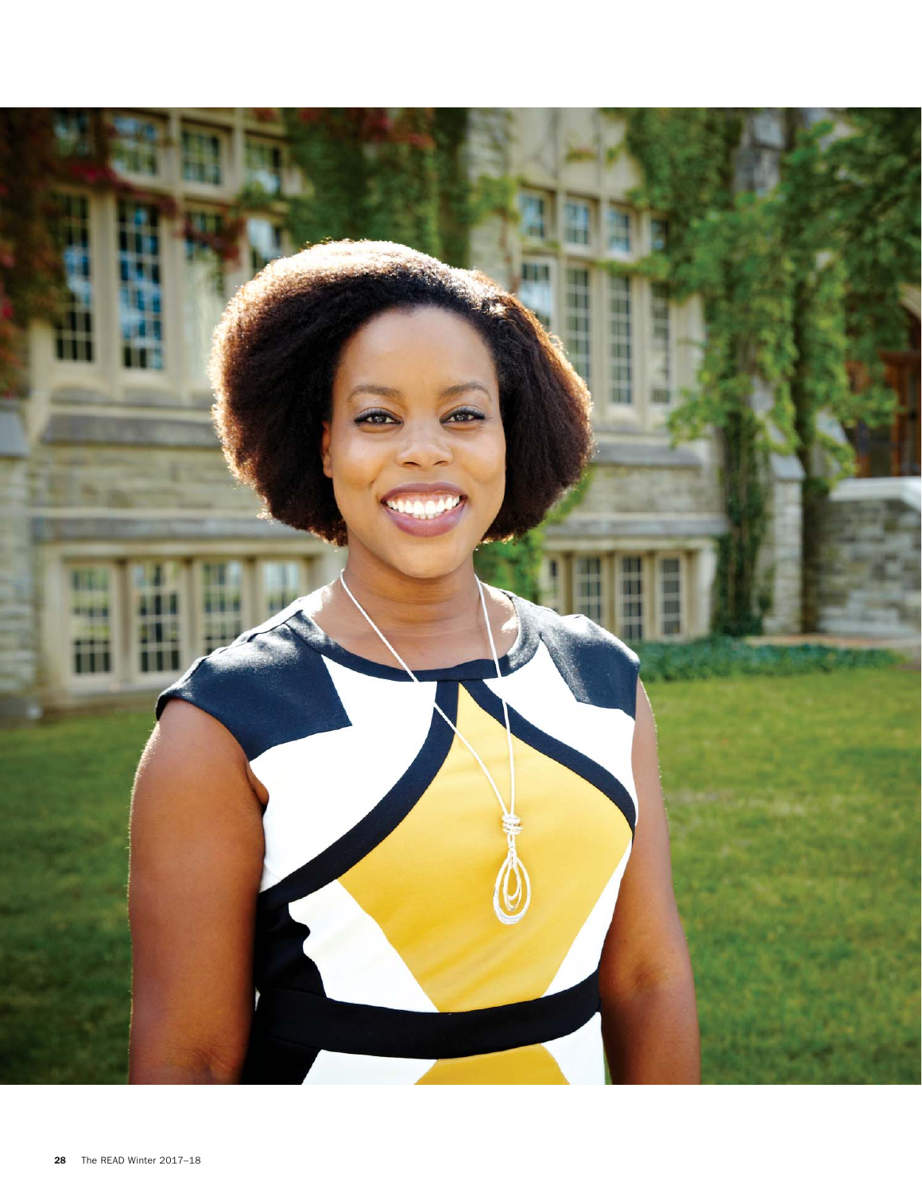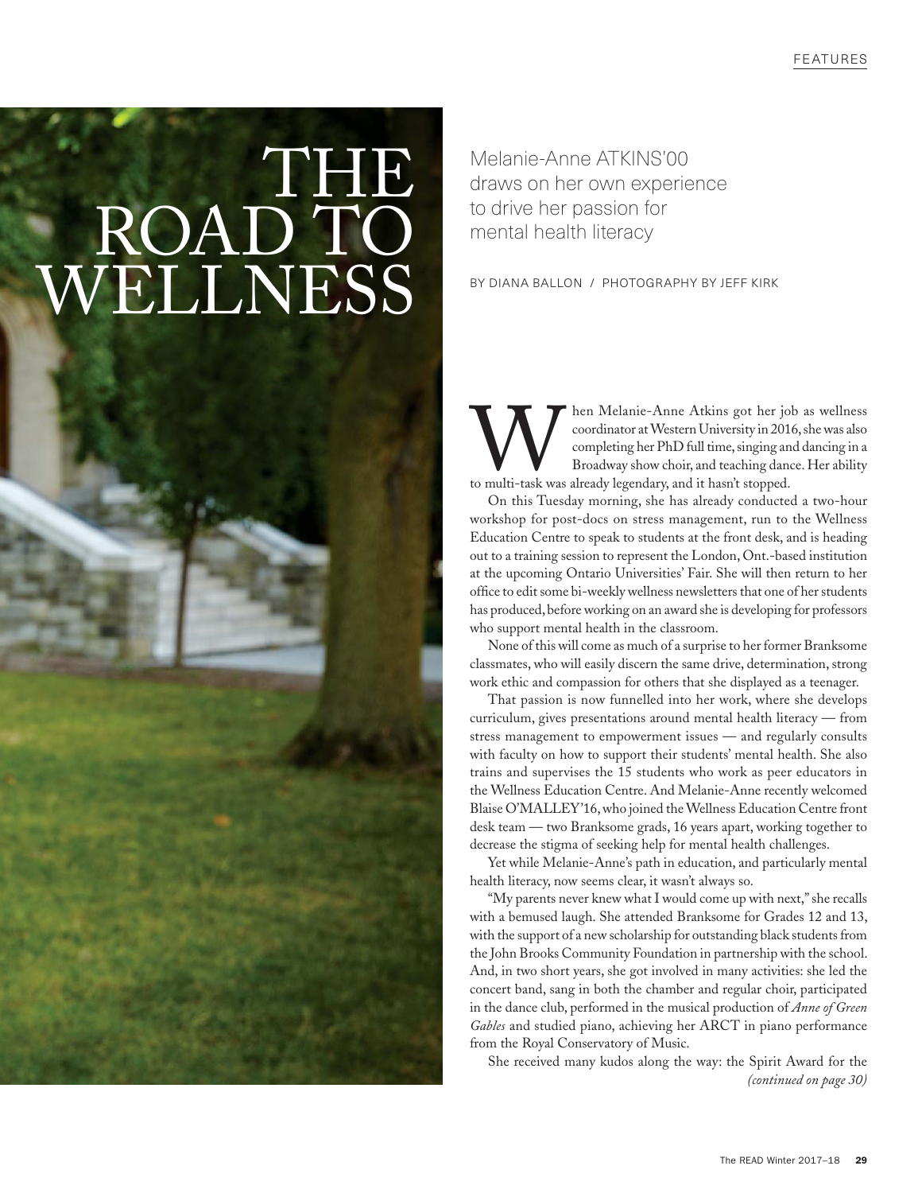## THE ROAD TO WELLNESS

Melanie-Anne ATKINS'00 draws on her own experience to drive her passion for mental health literacy

BY DIANA BALLON / PHOTOGRAPHY BY JEFF KIRK

Music Anne Atkins got her job as wellness<br>coordinator at Western University in 2016, she was also<br>completing her PhD full time, singing and dancing in a<br>Broadway show choir, and teaching dance. Her ability<br>to multi-task wa coordinator at Western University in 2016, she was also completing her PhD full time, singing and dancing in a Broadway show choir, and teaching dance. Her ability to multi-task was already legendary, and it hasn't stopped.

On this Tuesday morning, she has already conducted a two-hour workshop for post-docs on stress management, run to the Wellness Education Centre to speak to students at the front desk, and is heading out to a training session to represent the London, Ont.-based institution at the upcoming Ontario Universities' Fair. She will then return to her office to edit some bi-weekly wellness newsletters that one of her students has produced, before working on an award she is developing for professors who support mental health in the classroom.

None of this will come as much of a surprise to her former Branksome classmates, who will easily discern the same drive, determination, strong work ethic and compassion for others that she displayed as a teenager.

That passion is now funnelled into her work, where she develops curriculum, gives presentations around mental health literacy — from stress management to empowerment issues — and regularly consults with faculty on how to support their students' mental health. She also trains and supervises the 15 students who work as peer educators in the Wellness Education Centre. And Melanie-Anne recently welcomed Blaise O'MALLEY'16, who joined the Wellness Education Centre front desk team — two Branksome grads, 16 years apart, working together to decrease the stigma of seeking help for mental health challenges.

Yet while Melanie-Anne's path in education, and particularly mental health literacy, now seems clear, it wasn't always so.

"My parents never knew what I would come up with next," she recalls with a bemused laugh. She attended Branksome for Grades 12 and 13, with the support of a new scholarship for outstanding black students from the John Brooks Community Foundation in partnership with the school. And, in two short years, she got involved in many activities: she led the concert band, sang in both the chamber and regular choir, participated in the dance club, performed in the musical production of *Anne of Green Gables* and studied piano, achieving her ARCT in piano performance from the Royal Conservatory of Music.

She received many kudos along the way: the Spirit Award for the *(continued on page 30)*